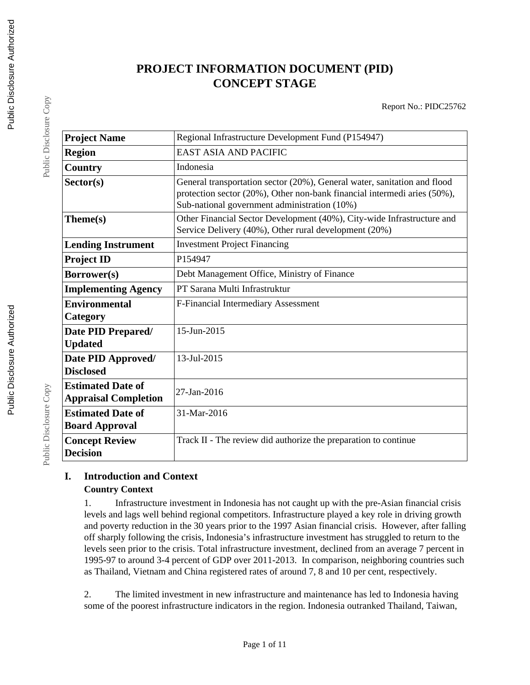# **PROJECT INFORMATION DOCUMENT (PID) CONCEPT STAGE**

Report No.: PIDC25762

| <b>Project Name</b>                                     | Regional Infrastructure Development Fund (P154947)                                                                                                                                                   |
|---------------------------------------------------------|------------------------------------------------------------------------------------------------------------------------------------------------------------------------------------------------------|
| <b>Region</b>                                           | EAST ASIA AND PACIFIC                                                                                                                                                                                |
| <b>Country</b>                                          | Indonesia                                                                                                                                                                                            |
| Sector(s)                                               | General transportation sector (20%), General water, sanitation and flood<br>protection sector (20%), Other non-bank financial intermedi aries (50%),<br>Sub-national government administration (10%) |
| Theme(s)                                                | Other Financial Sector Development (40%), City-wide Infrastructure and<br>Service Delivery (40%), Other rural development (20%)                                                                      |
| <b>Lending Instrument</b>                               | <b>Investment Project Financing</b>                                                                                                                                                                  |
| <b>Project ID</b>                                       | P154947                                                                                                                                                                                              |
| Borrower(s)                                             | Debt Management Office, Ministry of Finance                                                                                                                                                          |
| <b>Implementing Agency</b>                              | PT Sarana Multi Infrastruktur                                                                                                                                                                        |
| <b>Environmental</b><br>Category                        | F-Financial Intermediary Assessment                                                                                                                                                                  |
| Date PID Prepared/<br><b>Updated</b>                    | 15-Jun-2015                                                                                                                                                                                          |
| Date PID Approved/<br><b>Disclosed</b>                  | 13-Jul-2015                                                                                                                                                                                          |
| <b>Estimated Date of</b><br><b>Appraisal Completion</b> | 27-Jan-2016                                                                                                                                                                                          |
| <b>Estimated Date of</b><br><b>Board Approval</b>       | 31-Mar-2016                                                                                                                                                                                          |
| <b>Concept Review</b><br><b>Decision</b>                | Track II - The review did authorize the preparation to continue                                                                                                                                      |

# **I. Introduction and Context Country Context**

1. Infrastructure investment in Indonesia has not caught up with the pre-Asian financial crisis levels and lags well behind regional competitors. Infrastructure played a key role in driving growth and poverty reduction in the 30 years prior to the 1997 Asian financial crisis. However, after falling off sharply following the crisis, Indonesia's infrastructure investment has struggled to return to the levels seen prior to the crisis. Total infrastructure investment, declined from an average 7 percent in 1995-97 to around 3-4 percent of GDP over 2011-2013. In comparison, neighboring countries such as Thailand, Vietnam and China registered rates of around 7, 8 and 10 per cent, respectively.

2. The limited investment in new infrastructure and maintenance has led to Indonesia having some of the poorest infrastructure indicators in the region. Indonesia outranked Thailand, Taiwan,

Public Disclosure Copy

Public Disclosure Copy

Public Disclosure Copy

Public Disclosure Copy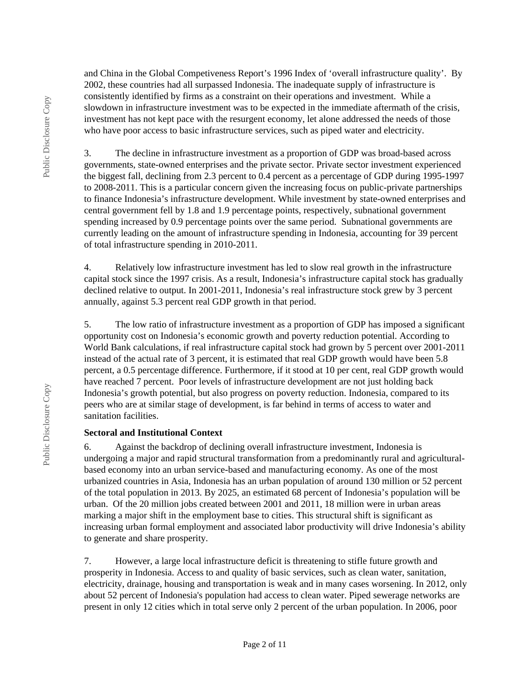and China in the Global Competiveness Report's 1996 Index of 'overall infrastructure quality'. By 2002, these countries had all surpassed Indonesia. The inadequate supply of infrastructure is consistently identified by firms as a constraint on their operations and investment. While a slowdown in infrastructure investment was to be expected in the immediate aftermath of the crisis, investment has not kept pace with the resurgent economy, let alone addressed the needs of those who have poor access to basic infrastructure services, such as piped water and electricity.

3. The decline in infrastructure investment as a proportion of GDP was broad-based across governments, state-owned enterprises and the private sector. Private sector investment experienced the biggest fall, declining from 2.3 percent to 0.4 percent as a percentage of GDP during 1995-1997 to 2008-2011. This is a particular concern given the increasing focus on public-private partnerships to finance Indonesia's infrastructure development. While investment by state-owned enterprises and central government fell by 1.8 and 1.9 percentage points, respectively, subnational government spending increased by 0.9 percentage points over the same period. Subnational governments are currently leading on the amount of infrastructure spending in Indonesia, accounting for 39 percent of total infrastructure spending in 2010-2011.

4. Relatively low infrastructure investment has led to slow real growth in the infrastructure capital stock since the 1997 crisis. As a result, Indonesia's infrastructure capital stock has gradually declined relative to output. In 2001-2011, Indonesia's real infrastructure stock grew by 3 percent annually, against 5.3 percent real GDP growth in that period.

5. The low ratio of infrastructure investment as a proportion of GDP has imposed a significant opportunity cost on Indonesia's economic growth and poverty reduction potential. According to World Bank calculations, if real infrastructure capital stock had grown by 5 percent over 2001-2011 instead of the actual rate of 3 percent, it is estimated that real GDP growth would have been 5.8 percent, a 0.5 percentage difference. Furthermore, if it stood at 10 per cent, real GDP growth would have reached 7 percent. Poor levels of infrastructure development are not just holding back Indonesia's growth potential, but also progress on poverty reduction. Indonesia, compared to its peers who are at similar stage of development, is far behind in terms of access to water and sanitation facilities.

### **Sectoral and Institutional Context**

6. Against the backdrop of declining overall infrastructure investment, Indonesia is undergoing a major and rapid structural transformation from a predominantly rural and agriculturalbased economy into an urban service-based and manufacturing economy. As one of the most urbanized countries in Asia, Indonesia has an urban population of around 130 million or 52 percent of the total population in 2013. By 2025, an estimated 68 percent of Indonesia's population will be urban. Of the 20 million jobs created between 2001 and 2011, 18 million were in urban areas marking a major shift in the employment base to cities. This structural shift is significant as increasing urban formal employment and associated labor productivity will drive Indonesia's ability to generate and share prosperity.

7. However, a large local infrastructure deficit is threatening to stifle future growth and prosperity in Indonesia. Access to and quality of basic services, such as clean water, sanitation, electricity, drainage, housing and transportation is weak and in many cases worsening. In 2012, only about 52 percent of Indonesia's population had access to clean water. Piped sewerage networks are present in only 12 cities which in total serve only 2 percent of the urban population. In 2006, poor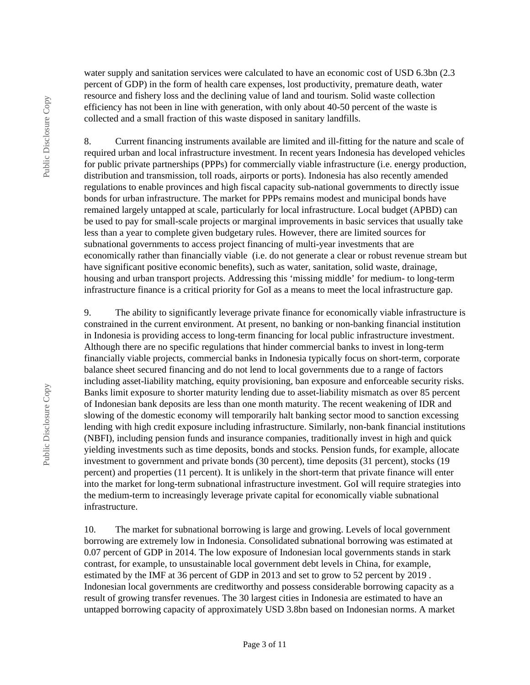water supply and sanitation services were calculated to have an economic cost of USD 6.3bn (2.3) percent of GDP) in the form of health care expenses, lost productivity, premature death, water resource and fishery loss and the declining value of land and tourism. Solid waste collection efficiency has not been in line with generation, with only about 40-50 percent of the waste is collected and a small fraction of this waste disposed in sanitary landfills.

8. Current financing instruments available are limited and ill-fitting for the nature and scale of required urban and local infrastructure investment. In recent years Indonesia has developed vehicles for public private partnerships (PPPs) for commercially viable infrastructure (i.e. energy production, distribution and transmission, toll roads, airports or ports). Indonesia has also recently amended regulations to enable provinces and high fiscal capacity sub-national governments to directly issue bonds for urban infrastructure. The market for PPPs remains modest and municipal bonds have remained largely untapped at scale, particularly for local infrastructure. Local budget (APBD) can be used to pay for small-scale projects or marginal improvements in basic services that usually take less than a year to complete given budgetary rules. However, there are limited sources for subnational governments to access project financing of multi-year investments that are economically rather than financially viable (i.e. do not generate a clear or robust revenue stream but have significant positive economic benefits), such as water, sanitation, solid waste, drainage, housing and urban transport projects. Addressing this 'missing middle' for medium- to long-term infrastructure finance is a critical priority for GoI as a means to meet the local infrastructure gap.

9. The ability to significantly leverage private finance for economically viable infrastructure is constrained in the current environment. At present, no banking or non-banking financial institution in Indonesia is providing access to long-term financing for local public infrastructure investment. Although there are no specific regulations that hinder commercial banks to invest in long-term financially viable projects, commercial banks in Indonesia typically focus on short-term, corporate balance sheet secured financing and do not lend to local governments due to a range of factors including asset-liability matching, equity provisioning, ban exposure and enforceable security risks. Banks limit exposure to shorter maturity lending due to asset-liability mismatch as over 85 percent of Indonesian bank deposits are less than one month maturity. The recent weakening of IDR and slowing of the domestic economy will temporarily halt banking sector mood to sanction excessing lending with high credit exposure including infrastructure. Similarly, non-bank financial institutions (NBFI), including pension funds and insurance companies, traditionally invest in high and quick yielding investments such as time deposits, bonds and stocks. Pension funds, for example, allocate investment to government and private bonds (30 percent), time deposits (31 percent), stocks (19 percent) and properties (11 percent). It is unlikely in the short-term that private finance will enter into the market for long-term subnational infrastructure investment. GoI will require strategies into the medium-term to increasingly leverage private capital for economically viable subnational infrastructure.

10. The market for subnational borrowing is large and growing. Levels of local government borrowing are extremely low in Indonesia. Consolidated subnational borrowing was estimated at 0.07 percent of GDP in 2014. The low exposure of Indonesian local governments stands in stark contrast, for example, to unsustainable local government debt levels in China, for example, estimated by the IMF at 36 percent of GDP in 2013 and set to grow to 52 percent by 2019 . Indonesian local governments are creditworthy and possess considerable borrowing capacity as a result of growing transfer revenues. The 30 largest cities in Indonesia are estimated to have an untapped borrowing capacity of approximately USD 3.8bn based on Indonesian norms. A market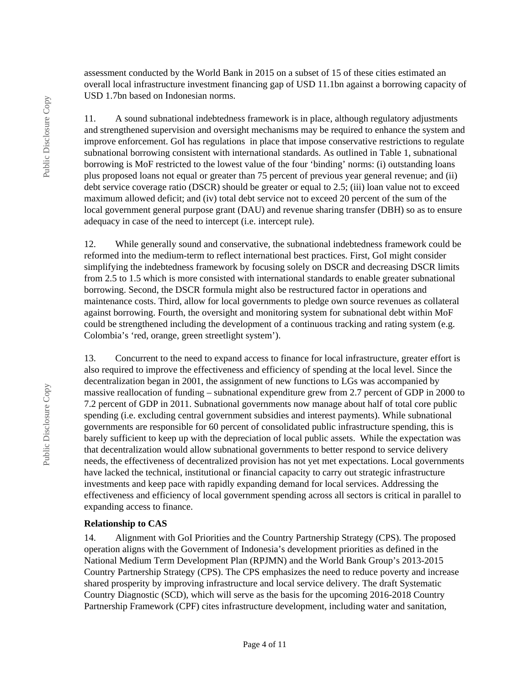assessment conducted by the World Bank in 2015 on a subset of 15 of these cities estimated an overall local infrastructure investment financing gap of USD 11.1bn against a borrowing capacity of USD 1.7bn based on Indonesian norms.

11. A sound subnational indebtedness framework is in place, although regulatory adjustments and strengthened supervision and oversight mechanisms may be required to enhance the system and improve enforcement. GoI has regulations in place that impose conservative restrictions to regulate subnational borrowing consistent with international standards. As outlined in Table 1, subnational borrowing is MoF restricted to the lowest value of the four 'binding' norms: (i) outstanding loans plus proposed loans not equal or greater than 75 percent of previous year general revenue; and (ii) debt service coverage ratio (DSCR) should be greater or equal to 2.5; (iii) loan value not to exceed maximum allowed deficit; and (iv) total debt service not to exceed 20 percent of the sum of the local government general purpose grant (DAU) and revenue sharing transfer (DBH) so as to ensure adequacy in case of the need to intercept (i.e. intercept rule).

12. While generally sound and conservative, the subnational indebtedness framework could be reformed into the medium-term to reflect international best practices. First, GoI might consider simplifying the indebtedness framework by focusing solely on DSCR and decreasing DSCR limits from 2.5 to 1.5 which is more consisted with international standards to enable greater subnational borrowing. Second, the DSCR formula might also be restructured factor in operations and maintenance costs. Third, allow for local governments to pledge own source revenues as collateral against borrowing. Fourth, the oversight and monitoring system for subnational debt within MoF could be strengthened including the development of a continuous tracking and rating system (e.g. Colombia's 'red, orange, green streetlight system').

13. Concurrent to the need to expand access to finance for local infrastructure, greater effort is also required to improve the effectiveness and efficiency of spending at the local level. Since the decentralization began in 2001, the assignment of new functions to LGs was accompanied by massive reallocation of funding – subnational expenditure grew from 2.7 percent of GDP in 2000 to 7.2 percent of GDP in 2011. Subnational governments now manage about half of total core public spending (i.e. excluding central government subsidies and interest payments). While subnational governments are responsible for 60 percent of consolidated public infrastructure spending, this is barely sufficient to keep up with the depreciation of local public assets. While the expectation was that decentralization would allow subnational governments to better respond to service delivery needs, the effectiveness of decentralized provision has not yet met expectations. Local governments have lacked the technical, institutional or financial capacity to carry out strategic infrastructure investments and keep pace with rapidly expanding demand for local services. Addressing the effectiveness and efficiency of local government spending across all sectors is critical in parallel to expanding access to finance.

#### **Relationship to CAS**

14. Alignment with GoI Priorities and the Country Partnership Strategy (CPS). The proposed operation aligns with the Government of Indonesia's development priorities as defined in the National Medium Term Development Plan (RPJMN) and the World Bank Group's 2013-2015 Country Partnership Strategy (CPS). The CPS emphasizes the need to reduce poverty and increase shared prosperity by improving infrastructure and local service delivery. The draft Systematic Country Diagnostic (SCD), which will serve as the basis for the upcoming 2016-2018 Country Partnership Framework (CPF) cites infrastructure development, including water and sanitation,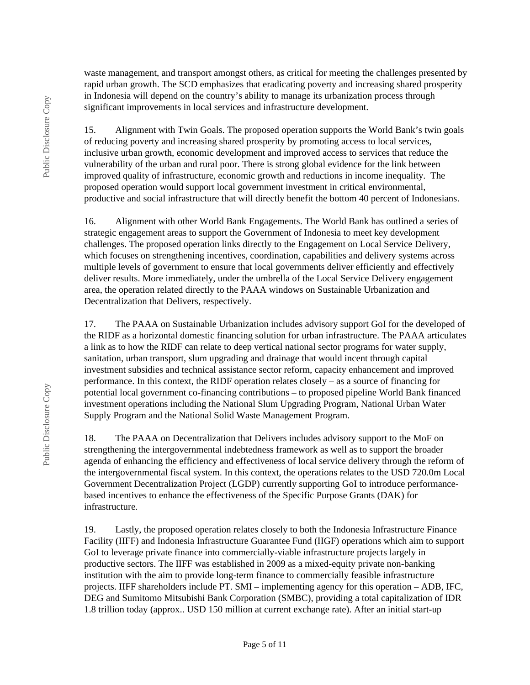waste management, and transport amongst others, as critical for meeting the challenges presented by rapid urban growth. The SCD emphasizes that eradicating poverty and increasing shared prosperity in Indonesia will depend on the country's ability to manage its urbanization process through significant improvements in local services and infrastructure development.

15. Alignment with Twin Goals. The proposed operation supports the World Bank's twin goals of reducing poverty and increasing shared prosperity by promoting access to local services, inclusive urban growth, economic development and improved access to services that reduce the vulnerability of the urban and rural poor. There is strong global evidence for the link between improved quality of infrastructure, economic growth and reductions in income inequality. The proposed operation would support local government investment in critical environmental, productive and social infrastructure that will directly benefit the bottom 40 percent of Indonesians.

16. Alignment with other World Bank Engagements. The World Bank has outlined a series of strategic engagement areas to support the Government of Indonesia to meet key development challenges. The proposed operation links directly to the Engagement on Local Service Delivery, which focuses on strengthening incentives, coordination, capabilities and delivery systems across multiple levels of government to ensure that local governments deliver efficiently and effectively deliver results. More immediately, under the umbrella of the Local Service Delivery engagement area, the operation related directly to the PAAA windows on Sustainable Urbanization and Decentralization that Delivers, respectively.

17. The PAAA on Sustainable Urbanization includes advisory support GoI for the developed of the RIDF as a horizontal domestic financing solution for urban infrastructure. The PAAA articulates a link as to how the RIDF can relate to deep vertical national sector programs for water supply, sanitation, urban transport, slum upgrading and drainage that would incent through capital investment subsidies and technical assistance sector reform, capacity enhancement and improved performance. In this context, the RIDF operation relates closely – as a source of financing for potential local government co-financing contributions – to proposed pipeline World Bank financed investment operations including the National Slum Upgrading Program, National Urban Water Supply Program and the National Solid Waste Management Program.

18. The PAAA on Decentralization that Delivers includes advisory support to the MoF on strengthening the intergovernmental indebtedness framework as well as to support the broader agenda of enhancing the efficiency and effectiveness of local service delivery through the reform of the intergovernmental fiscal system. In this context, the operations relates to the USD 720.0m Local Government Decentralization Project (LGDP) currently supporting GoI to introduce performancebased incentives to enhance the effectiveness of the Specific Purpose Grants (DAK) for infrastructure.

19. Lastly, the proposed operation relates closely to both the Indonesia Infrastructure Finance Facility (IIFF) and Indonesia Infrastructure Guarantee Fund (IIGF) operations which aim to support GoI to leverage private finance into commercially-viable infrastructure projects largely in productive sectors. The IIFF was established in 2009 as a mixed-equity private non-banking institution with the aim to provide long-term finance to commercially feasible infrastructure projects. IIFF shareholders include PT. SMI – implementing agency for this operation – ADB, IFC, DEG and Sumitomo Mitsubishi Bank Corporation (SMBC), providing a total capitalization of IDR 1.8 trillion today (approx.. USD 150 million at current exchange rate). After an initial start-up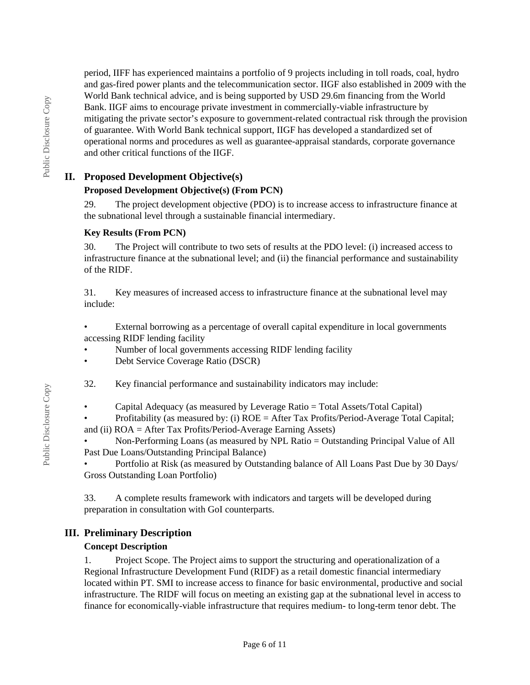period, IIFF has experienced maintains a portfolio of 9 projects including in toll roads, coal, hydro and gas-fired power plants and the telecommunication sector. IIGF also established in 2009 with the World Bank technical advice, and is being supported by USD 29.6m financing from the World Bank. IIGF aims to encourage private investment in commercially-viable infrastructure by mitigating the private sector's exposure to government-related contractual risk through the provision of guarantee. With World Bank technical support, IIGF has developed a standardized set of operational norms and procedures as well as guarantee-appraisal standards, corporate governance and other critical functions of the IIGF.

# **II. Proposed Development Objective(s)**

# **Proposed Development Objective(s) (From PCN)**

29. The project development objective (PDO) is to increase access to infrastructure finance at the subnational level through a sustainable financial intermediary.

### **Key Results (From PCN)**

30. The Project will contribute to two sets of results at the PDO level: (i) increased access to infrastructure finance at the subnational level; and (ii) the financial performance and sustainability of the RIDF.

31. Key measures of increased access to infrastructure finance at the subnational level may include:

External borrowing as a percentage of overall capital expenditure in local governments accessing RIDF lending facility

• Number of local governments accessing RIDF lending facility

• Debt Service Coverage Ratio (DSCR)

32. Key financial performance and sustainability indicators may include:

• Capital Adequacy (as measured by Leverage Ratio = Total Assets/Total Capital)

• Profitability (as measured by: (i) ROE = After Tax Profits/Period-Average Total Capital;

and (ii) ROA = After Tax Profits/Period-Average Earning Assets)

• Non-Performing Loans (as measured by NPL Ratio = Outstanding Principal Value of All Past Due Loans/Outstanding Principal Balance)

• Portfolio at Risk (as measured by Outstanding balance of All Loans Past Due by 30 Days/ Gross Outstanding Loan Portfolio)

33. A complete results framework with indicators and targets will be developed during preparation in consultation with GoI counterparts.

# **III. Preliminary Description**

# **Concept Description**

1. Project Scope. The Project aims to support the structuring and operationalization of a Regional Infrastructure Development Fund (RIDF) as a retail domestic financial intermediary located within PT. SMI to increase access to finance for basic environmental, productive and social infrastructure. The RIDF will focus on meeting an existing gap at the subnational level in access to finance for economically-viable infrastructure that requires medium- to long-term tenor debt. The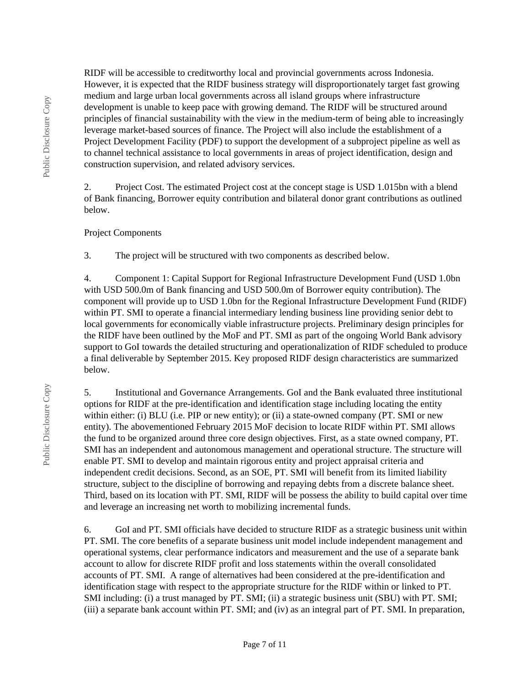RIDF will be accessible to creditworthy local and provincial governments across Indonesia. However, it is expected that the RIDF business strategy will disproportionately target fast growing medium and large urban local governments across all island groups where infrastructure development is unable to keep pace with growing demand. The RIDF will be structured around principles of financial sustainability with the view in the medium-term of being able to increasingly leverage market-based sources of finance. The Project will also include the establishment of a Project Development Facility (PDF) to support the development of a subproject pipeline as well as to channel technical assistance to local governments in areas of project identification, design and construction supervision, and related advisory services.

2. Project Cost. The estimated Project cost at the concept stage is USD 1.015bn with a blend of Bank financing, Borrower equity contribution and bilateral donor grant contributions as outlined below.

#### Project Components

3. The project will be structured with two components as described below.

4. Component 1: Capital Support for Regional Infrastructure Development Fund (USD 1.0bn with USD 500.0m of Bank financing and USD 500.0m of Borrower equity contribution). The component will provide up to USD 1.0bn for the Regional Infrastructure Development Fund (RIDF) within PT. SMI to operate a financial intermediary lending business line providing senior debt to local governments for economically viable infrastructure projects. Preliminary design principles for the RIDF have been outlined by the MoF and PT. SMI as part of the ongoing World Bank advisory support to GoI towards the detailed structuring and operationalization of RIDF scheduled to produce a final deliverable by September 2015. Key proposed RIDF design characteristics are summarized below.

5. Institutional and Governance Arrangements. GoI and the Bank evaluated three institutional options for RIDF at the pre-identification and identification stage including locating the entity within either: (i) BLU (i.e. PIP or new entity); or (ii) a state-owned company (PT. SMI or new entity). The abovementioned February 2015 MoF decision to locate RIDF within PT. SMI allows the fund to be organized around three core design objectives. First, as a state owned company, PT. SMI has an independent and autonomous management and operational structure. The structure will enable PT. SMI to develop and maintain rigorous entity and project appraisal criteria and independent credit decisions. Second, as an SOE, PT. SMI will benefit from its limited liability structure, subject to the discipline of borrowing and repaying debts from a discrete balance sheet. Third, based on its location with PT. SMI, RIDF will be possess the ability to build capital over time and leverage an increasing net worth to mobilizing incremental funds.

6. GoI and PT. SMI officials have decided to structure RIDF as a strategic business unit within PT. SMI. The core benefits of a separate business unit model include independent management and operational systems, clear performance indicators and measurement and the use of a separate bank account to allow for discrete RIDF profit and loss statements within the overall consolidated accounts of PT. SMI. A range of alternatives had been considered at the pre-identification and identification stage with respect to the appropriate structure for the RIDF within or linked to PT. SMI including: (i) a trust managed by PT. SMI; (ii) a strategic business unit (SBU) with PT. SMI; (iii) a separate bank account within PT. SMI; and (iv) as an integral part of PT. SMI. In preparation,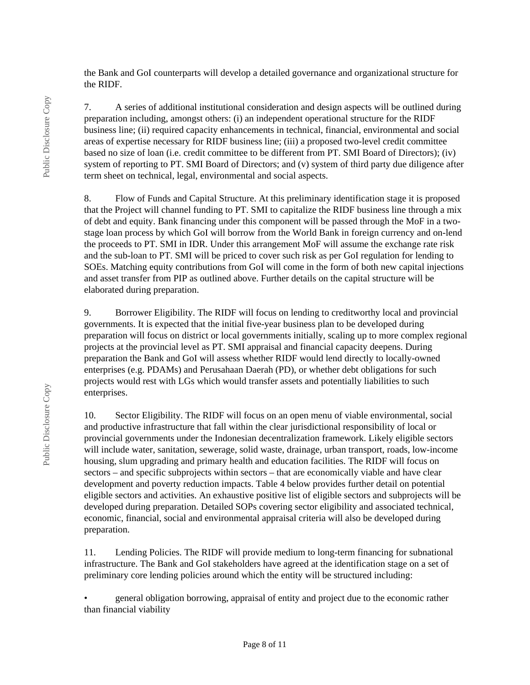the Bank and GoI counterparts will develop a detailed governance and organizational structure for the RIDF.

7. A series of additional institutional consideration and design aspects will be outlined during preparation including, amongst others: (i) an independent operational structure for the RIDF business line; (ii) required capacity enhancements in technical, financial, environmental and social areas of expertise necessary for RIDF business line; (iii) a proposed two-level credit committee based no size of loan (i.e. credit committee to be different from PT. SMI Board of Directors); (iv) system of reporting to PT. SMI Board of Directors; and (v) system of third party due diligence after term sheet on technical, legal, environmental and social aspects.

8. Flow of Funds and Capital Structure. At this preliminary identification stage it is proposed that the Project will channel funding to PT. SMI to capitalize the RIDF business line through a mix of debt and equity. Bank financing under this component will be passed through the MoF in a twostage loan process by which GoI will borrow from the World Bank in foreign currency and on-lend the proceeds to PT. SMI in IDR. Under this arrangement MoF will assume the exchange rate risk and the sub-loan to PT. SMI will be priced to cover such risk as per GoI regulation for lending to SOEs. Matching equity contributions from GoI will come in the form of both new capital injections and asset transfer from PIP as outlined above. Further details on the capital structure will be elaborated during preparation.

9. Borrower Eligibility. The RIDF will focus on lending to creditworthy local and provincial governments. It is expected that the initial five-year business plan to be developed during preparation will focus on district or local governments initially, scaling up to more complex regional projects at the provincial level as PT. SMI appraisal and financial capacity deepens. During preparation the Bank and GoI will assess whether RIDF would lend directly to locally-owned enterprises (e.g. PDAMs) and Perusahaan Daerah (PD), or whether debt obligations for such projects would rest with LGs which would transfer assets and potentially liabilities to such enterprises.

10. Sector Eligibility. The RIDF will focus on an open menu of viable environmental, social and productive infrastructure that fall within the clear jurisdictional responsibility of local or provincial governments under the Indonesian decentralization framework. Likely eligible sectors will include water, sanitation, sewerage, solid waste, drainage, urban transport, roads, low-income housing, slum upgrading and primary health and education facilities. The RIDF will focus on sectors – and specific subprojects within sectors – that are economically viable and have clear development and poverty reduction impacts. Table 4 below provides further detail on potential eligible sectors and activities. An exhaustive positive list of eligible sectors and subprojects will be developed during preparation. Detailed SOPs covering sector eligibility and associated technical, economic, financial, social and environmental appraisal criteria will also be developed during preparation.

11. Lending Policies. The RIDF will provide medium to long-term financing for subnational infrastructure. The Bank and GoI stakeholders have agreed at the identification stage on a set of preliminary core lending policies around which the entity will be structured including:

• general obligation borrowing, appraisal of entity and project due to the economic rather than financial viability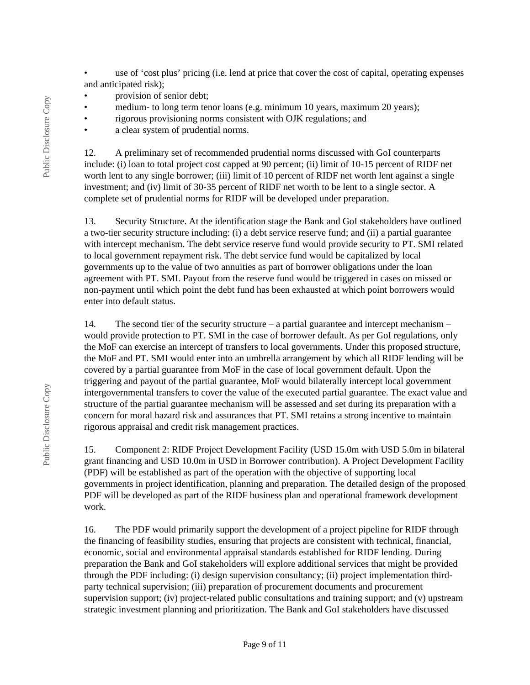- use of 'cost plus' pricing (i.e. lend at price that cover the cost of capital, operating expenses and anticipated risk);
- provision of senior debt;
- medium- to long term tenor loans (e.g. minimum 10 years, maximum 20 years);
- rigorous provisioning norms consistent with OJK regulations; and
- a clear system of prudential norms.

12. A preliminary set of recommended prudential norms discussed with GoI counterparts include: (i) loan to total project cost capped at 90 percent; (ii) limit of 10-15 percent of RIDF net worth lent to any single borrower; (iii) limit of 10 percent of RIDF net worth lent against a single investment; and (iv) limit of 30-35 percent of RIDF net worth to be lent to a single sector. A complete set of prudential norms for RIDF will be developed under preparation.

13. Security Structure. At the identification stage the Bank and GoI stakeholders have outlined a two-tier security structure including: (i) a debt service reserve fund; and (ii) a partial guarantee with intercept mechanism. The debt service reserve fund would provide security to PT. SMI related to local government repayment risk. The debt service fund would be capitalized by local governments up to the value of two annuities as part of borrower obligations under the loan agreement with PT. SMI. Payout from the reserve fund would be triggered in cases on missed or non-payment until which point the debt fund has been exhausted at which point borrowers would enter into default status.

14. The second tier of the security structure – a partial guarantee and intercept mechanism – would provide protection to PT. SMI in the case of borrower default. As per GoI regulations, only the MoF can exercise an intercept of transfers to local governments. Under this proposed structure, the MoF and PT. SMI would enter into an umbrella arrangement by which all RIDF lending will be covered by a partial guarantee from MoF in the case of local government default. Upon the triggering and payout of the partial guarantee, MoF would bilaterally intercept local government intergovernmental transfers to cover the value of the executed partial guarantee. The exact value and structure of the partial guarantee mechanism will be assessed and set during its preparation with a concern for moral hazard risk and assurances that PT. SMI retains a strong incentive to maintain rigorous appraisal and credit risk management practices.

15. Component 2: RIDF Project Development Facility (USD 15.0m with USD 5.0m in bilateral grant financing and USD 10.0m in USD in Borrower contribution). A Project Development Facility (PDF) will be established as part of the operation with the objective of supporting local governments in project identification, planning and preparation. The detailed design of the proposed PDF will be developed as part of the RIDF business plan and operational framework development work.

16. The PDF would primarily support the development of a project pipeline for RIDF through the financing of feasibility studies, ensuring that projects are consistent with technical, financial, economic, social and environmental appraisal standards established for RIDF lending. During preparation the Bank and GoI stakeholders will explore additional services that might be provided through the PDF including: (i) design supervision consultancy; (ii) project implementation thirdparty technical supervision; (iii) preparation of procurement documents and procurement supervision support; (iv) project-related public consultations and training support; and (v) upstream strategic investment planning and prioritization. The Bank and GoI stakeholders have discussed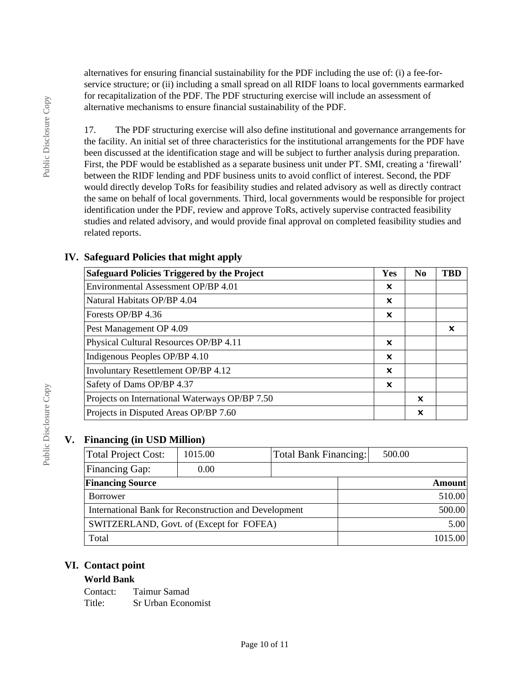alternatives for ensuring financial sustainability for the PDF including the use of: (i) a fee-forservice structure; or (ii) including a small spread on all RIDF loans to local governments earmarked for recapitalization of the PDF. The PDF structuring exercise will include an assessment of alternative mechanisms to ensure financial sustainability of the PDF.

17. The PDF structuring exercise will also define institutional and governance arrangements for the facility. An initial set of three characteristics for the institutional arrangements for the PDF have been discussed at the identification stage and will be subject to further analysis during preparation. First, the PDF would be established as a separate business unit under PT. SMI, creating a 'firewall' between the RIDF lending and PDF business units to avoid conflict of interest. Second, the PDF would directly develop ToRs for feasibility studies and related advisory as well as directly contract the same on behalf of local governments. Third, local governments would be responsible for project identification under the PDF, review and approve ToRs, actively supervise contracted feasibility studies and related advisory, and would provide final approval on completed feasibility studies and related reports.

| <b>Safeguard Policies Triggered by the Project</b> | <b>Yes</b>                | N <sub>0</sub> | TBD |
|----------------------------------------------------|---------------------------|----------------|-----|
| Environmental Assessment OP/BP 4.01                | $\boldsymbol{\mathsf{x}}$ |                |     |
| Natural Habitats OP/BP 4.04                        | x                         |                |     |
| Forests OP/BP 4.36                                 | ×                         |                |     |
| Pest Management OP 4.09                            |                           |                | x   |
| Physical Cultural Resources OP/BP 4.11             | ×                         |                |     |
| Indigenous Peoples OP/BP 4.10                      | ×                         |                |     |
| Involuntary Resettlement OP/BP 4.12                | $\boldsymbol{\mathsf{x}}$ |                |     |
| Safety of Dams OP/BP 4.37                          | X                         |                |     |
| Projects on International Waterways OP/BP 7.50     |                           | x              |     |
| Projects in Disputed Areas OP/BP 7.60              |                           | X              |     |

# **IV. Safeguard Policies that might apply**

# **V. Financing (in USD Million)**

| Total Project Cost:                                   | 1015.00 |  | Total Bank Financing: | 500.00        |  |
|-------------------------------------------------------|---------|--|-----------------------|---------------|--|
| <b>Financing Gap:</b>                                 | 0.00    |  |                       |               |  |
| <b>Financing Source</b>                               |         |  |                       | <b>Amount</b> |  |
| <b>Borrower</b>                                       |         |  |                       | 510.00        |  |
| International Bank for Reconstruction and Development |         |  |                       | 500.00        |  |
| SWITZERLAND, Govt. of (Except for FOFEA)              |         |  | 5.00                  |               |  |
| Total                                                 |         |  | 1015.00               |               |  |

# **VI. Contact point**

### **World Bank**

Contact: Taimur Samad Title: Sr Urban Economist